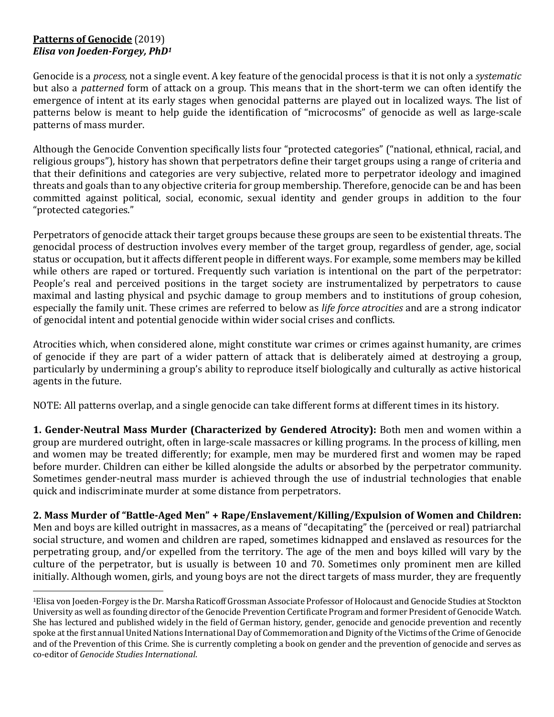## **Patterns of Genocide** (2019) *Elisa* von *Joeden-Forgey*, *PhD<sup>1</sup>*

Genocide is a *process*, not a single event. A key feature of the genocidal process is that it is not only a *systematic* but also a *patterned* form of attack on a group. This means that in the short-term we can often identify the emergence of intent at its early stages when genocidal patterns are played out in localized ways. The list of patterns below is meant to help guide the identification of "microcosms" of genocide as well as large-scale patterns of mass murder.

Although the Genocide Convention specifically lists four "protected categories" ("national, ethnical, racial, and religious groups"), history has shown that perpetrators define their target groups using a range of criteria and that their definitions and categories are very subjective, related more to perpetrator ideology and imagined threats and goals than to any objective criteria for group membership. Therefore, genocide can be and has been committed against political, social, economic, sexual identity and gender groups in addition to the four "protected categories."

Perpetrators of genocide attack their target groups because these groups are seen to be existential threats. The genocidal process of destruction involves every member of the target group, regardless of gender, age, social status or occupation, but it affects different people in different ways. For example, some members may be killed while others are raped or tortured. Frequently such variation is intentional on the part of the perpetrator: People's real and perceived positions in the target society are instrumentalized by perpetrators to cause maximal and lasting physical and psychic damage to group members and to institutions of group cohesion, especially the family unit. These crimes are referred to below as *life force atrocities* and are a strong indicator of genocidal intent and potential genocide within wider social crises and conflicts.

Atrocities which, when considered alone, might constitute war crimes or crimes against humanity, are crimes of genocide if they are part of a wider pattern of attack that is deliberately aimed at destroying a group, particularly by undermining a group's ability to reproduce itself biologically and culturally as active historical agents in the future.

NOTE: All patterns overlap, and a single genocide can take different forms at different times in its history.

**1. Gender-Neutral Mass Murder (Characterized by Gendered Atrocity):** Both men and women within a group are murdered outright, often in large-scale massacres or killing programs. In the process of killing, men and women may be treated differently; for example, men may be murdered first and women may be raped before murder. Children can either be killed alongside the adults or absorbed by the perpetrator community. Sometimes gender-neutral mass murder is achieved through the use of industrial technologies that enable quick and indiscriminate murder at some distance from perpetrators.

2. Mass Murder of "Battle-Aged Men" + Rape/Enslavement/Killing/Expulsion of Women and Children: Men and boys are killed outright in massacres, as a means of "decapitating" the (perceived or real) patriarchal social structure, and women and children are raped, sometimes kidnapped and enslaved as resources for the perpetrating group, and/or expelled from the territory. The age of the men and boys killed will vary by the culture of the perpetrator, but is usually is between 10 and 70. Sometimes only prominent men are killed initially. Although women, girls, and young boys are not the direct targets of mass murder, they are frequently

<sup>&</sup>lt;sup>1</sup>Elisa von Joeden-Forgey is the Dr. Marsha Raticoff Grossman Associate Professor of Holocaust and Genocide Studies at Stockton University as well as founding director of the Genocide Prevention Certificate Program and former President of Genocide Watch. She has lectured and published widely in the field of German history, gender, genocide and genocide prevention and recently spoke at the first annual United Nations International Day of Commemoration and Dignity of the Victims of the Crime of Genocide and of the Prevention of this Crime. She is currently completing a book on gender and the prevention of genocide and serves as co-editor of *Genocide Studies International*.